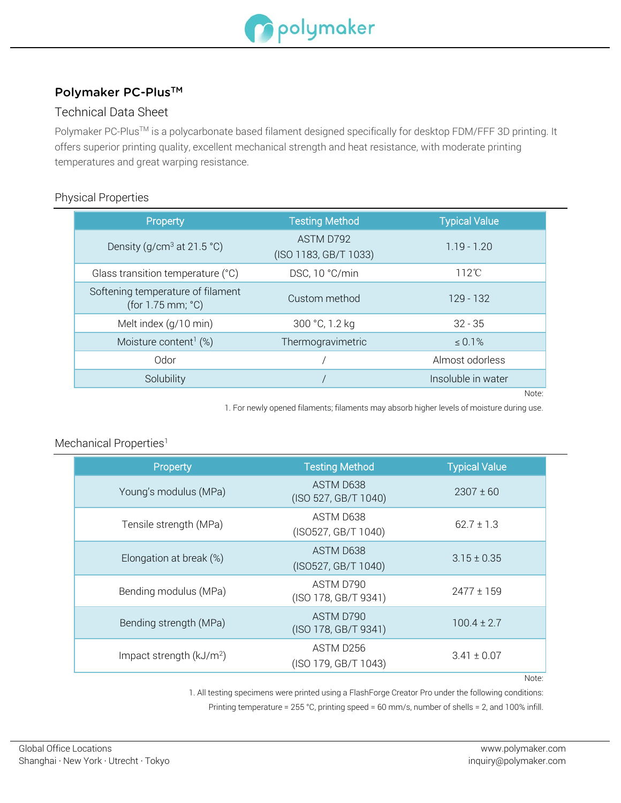

# Polymaker PC-Plus™

## Technical Data Sheet

Polymaker PC-Plus™ is a polycarbonate based filament designed specifically for desktop FDM/FFF 3D printing. It offers superior printing quality, excellent mechanical strength and heat resistance, with moderate printing temperatures and great warping resistance.

#### Physical Properties

| Property                                                    | <b>Testing Method</b>              | <b>Typical Value</b> |
|-------------------------------------------------------------|------------------------------------|----------------------|
| Density (g/cm <sup>3</sup> at 21.5 °C)                      | ASTM D792<br>(ISO 1183, GB/T 1033) | $1.19 - 1.20$        |
| Glass transition temperature (°C)                           | DSC, 10 °C/min                     | $112^{\circ}$ C      |
| Softening temperature of filament<br>(for $1.75$ mm; $°C$ ) | Custom method                      | 129 - 132            |
| Melt index (g/10 min)                                       | 300 °C, 1.2 kg                     | $32 - 35$            |
| Moisture content <sup>1</sup> $(\%)$                        | Thermogravimetric                  | $\le 0.1\%$          |
| Odor                                                        |                                    | Almost odorless      |
| Solubility                                                  |                                    | Insoluble in water   |
|                                                             |                                    | Note:                |

1. For newly opened filaments; filaments may absorb higher levels of moisture during use.

### Mechanical Properties<sup>1</sup>

| Property                  | <b>Testing Method</b>             | <b>Typical Value</b> |
|---------------------------|-----------------------------------|----------------------|
| Young's modulus (MPa)     | ASTM D638<br>(ISO 527, GB/T 1040) | $2307 \pm 60$        |
| Tensile strength (MPa)    | ASTM D638<br>(ISO527, GB/T 1040)  | $62.7 \pm 1.3$       |
| Elongation at break (%)   | ASTM D638<br>(ISO527, GB/T 1040)  | $3.15 \pm 0.35$      |
| Bending modulus (MPa)     | ASTM D790<br>(ISO 178, GB/T 9341) | $2477 \pm 159$       |
| Bending strength (MPa)    | ASTM D790<br>(ISO 178, GB/T 9341) | $100.4 \pm 2.7$      |
| Impact strength $(kJ/m2)$ | ASTM D256<br>(ISO 179, GB/T 1043) | $3.41 \pm 0.07$      |

Note:

1. All testing specimens were printed using a FlashForge Creator Pro under the following conditions:

Printing temperature = 255 °C, printing speed = 60 mm/s, number of shells = 2, and 100% infill.